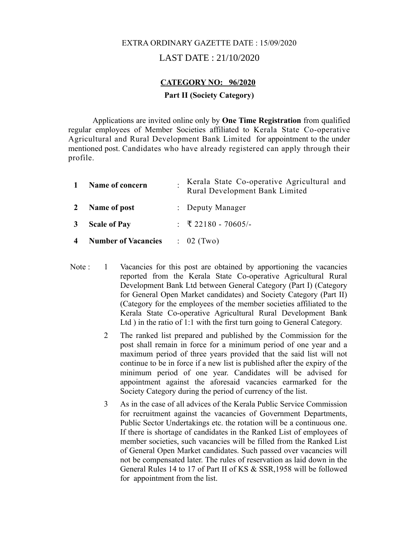# EXTRA ORDINARY GAZETTE DATE : 15/09/2020 LAST DATE : 21/10/2020

# **CATEGORY NO: 96/2020 Part II (Society Category)**

Applications are invited online only by **One Time Registration** from qualified regular employees of Member Societies affiliated to Kerala State Co-operative Agricultural and Rural Development Bank Limited for appointment to the under mentioned post. Candidates who have already registered can apply through their profile.

| $\mathbf{1}$            | Name of concern            | Kerala State Co-operative Agricultural and<br>Rural Development Bank Limited |  |
|-------------------------|----------------------------|------------------------------------------------------------------------------|--|
| $\mathbf{2}$            | Name of post               | $\therefore$ Deputy Manager                                                  |  |
|                         | 3 Scale of Pay             | : ₹ 22180 - 70605/-                                                          |  |
| $\overline{\mathbf{4}}$ | <b>Number of Vacancies</b> | $\therefore$ 02 (Two)                                                        |  |

- Note : 1 Vacancies for this post are obtained by apportioning the vacancies reported from the Kerala State Co-operative Agricultural Rural Development Bank Ltd between General Category (Part I) (Category for General Open Market candidates) and Society Category (Part II) (Category for the employees of the member societies affiliated to the Kerala State Co-operative Agricultural Rural Development Bank Ltd ) in the ratio of 1:1 with the first turn going to General Category.
	- 2 The ranked list prepared and published by the Commission for the post shall remain in force for a minimum period of one year and a maximum period of three years provided that the said list will not continue to be in force if a new list is published after the expiry of the minimum period of one year. Candidates will be advised for appointment against the aforesaid vacancies earmarked for the Society Category during the period of currency of the list.
	- 3 As in the case of all advices of the Kerala Public Service Commission for recruitment against the vacancies of Government Departments, Public Sector Undertakings etc. the rotation will be a continuous one. If there is shortage of candidates in the Ranked List of employees of member societies, such vacancies will be filled from the Ranked List of General Open Market candidates. Such passed over vacancies will not be compensated later. The rules of reservation as laid down in the General Rules 14 to 17 of Part II of KS & SSR,1958 will be followed for appointment from the list.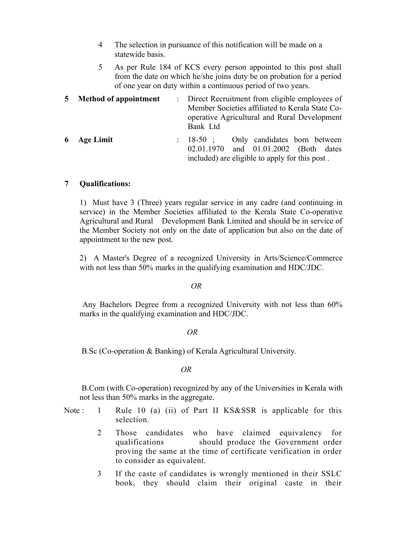- 4 The selection in pursuance of this notification will be made on a statewide basis.
- 5 As per Rule 184 of KCS every person appointed to this post shall from the date on which he/she joins duty be on probation for a period of one year on duty within a continuous period of two years.

02.01.1970 and 01.01.2002 (Both dates included) are eligible to apply for this post .

| 5 Method of appointment | : Direct Recruitment from eligible employees of<br>Member Societies affiliated to Kerala State Co-<br>operative Agricultural and Rural Development<br>Bank Ltd |
|-------------------------|----------------------------------------------------------------------------------------------------------------------------------------------------------------|
| 6 Age Limit             | $\therefore$ 18-50 ; Only candidates born between                                                                                                              |

# **7 Qualifications:**

1) Must have 3 (Three) years regular service in any cadre (and continuing in service) in the Member Societies affiliated to the Kerala State Co-operative Agricultural and Rural Development Bank Limited and should be in service of the Member Society not only on the date of application but also on the date of appointment to the new post.

2) A Master's Degree of a recognized University in Arts/Science/Commerce with not less than 50% marks in the qualifying examination and HDC/JDC.

#### *OR*

 Any Bachelors Degree from a recognized University with not less than 60% marks in the qualifying examination and HDC/JDC.

#### *OR*

B.Sc (Co-operation & Banking) of Kerala Agricultural University.

## *OR*

 B.Com (with Co-operation) recognized by any of the Universities in Kerala with not less than 50% marks in the aggregate.

- Note: 1 Rule 10 (a) (ii) of Part II KS&SSR is applicable for this selection.
	- 2 Those candidates who have claimed equivalency for qualifications should produce the Government order proving the same at the time of certificate verification in order to consider as equivalent.
	- 3 If the caste of candidates is wrongly mentioned in their SSLC book, they should claim their original caste in their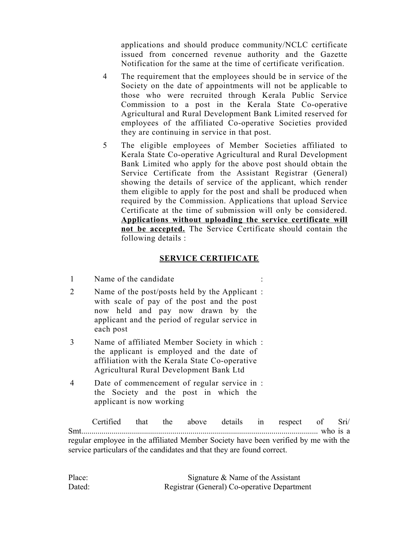applications and should produce community/NCLC certificate issued from concerned revenue authority and the Gazette Notification for the same at the time of certificate verification.

- 4 The requirement that the employees should be in service of the Society on the date of appointments will not be applicable to those who were recruited through Kerala Public Service Commission to a post in the Kerala State Co-operative Agricultural and Rural Development Bank Limited reserved for employees of the affiliated Co-operative Societies provided they are continuing in service in that post.
- 5 The eligible employees of Member Societies affiliated to Kerala State Co-operative Agricultural and Rural Development Bank Limited who apply for the above post should obtain the Service Certificate from the Assistant Registrar (General) showing the details of service of the applicant, which render them eligible to apply for the post and shall be produced when required by the Commission. Applications that upload Service Certificate at the time of submission will only be considered. **Applications without uploading the service certificate will not be accepted.** The Service Certificate should contain the following details :

## **SERVICE CERTIFICATE**

- 1 Name of the candidate
- 2 Name of the post/posts held by the Applicant : with scale of pay of the post and the post now held and pay now drawn by the applicant and the period of regular service in each post
- 3 Name of affiliated Member Society in which : the applicant is employed and the date of affiliation with the Kerala State Co-operative Agricultural Rural Development Bank Ltd
- 4 Date of commencement of regular service in : the Society and the post in which the applicant is now working

Certified that the above details in respect of Sri/ Smt..................................................................................................................... who is a regular employee in the affiliated Member Society have been verified by me with the service particulars of the candidates and that they are found correct.

Place: Signature & Name of the Assistant Dated: Registrar (General) Co-operative Department